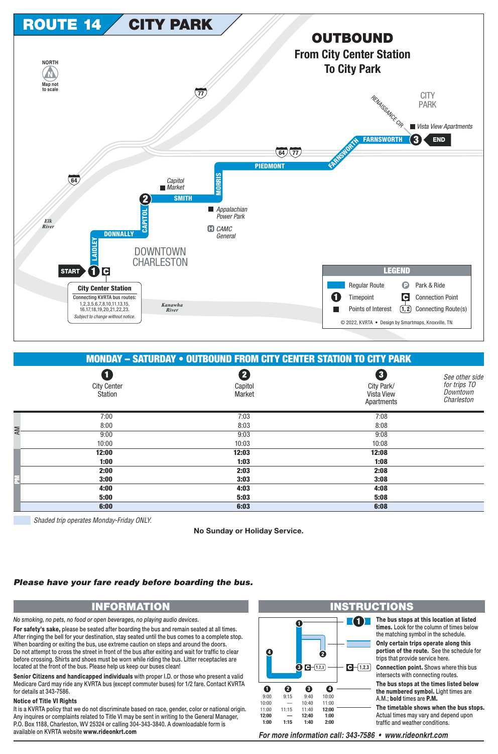

## **MONDAY - SATURDAY • OUTBOUND FROM CITY CENTER STATION TO CITY PARK**

|    | Q<br><b>City Center</b><br>Station | 2<br>Capitol<br>Market | 8<br>City Park/<br>Vista View<br>Apartments | See other side<br>for trips TO<br>Downtown<br>Charleston |
|----|------------------------------------|------------------------|---------------------------------------------|----------------------------------------------------------|
| AM | 7:00                               | 7:03                   | 7:08                                        |                                                          |
|    | 8:00                               | 8:03                   | 8:08                                        |                                                          |
|    | 9:00                               | 9:03                   | 9:08                                        |                                                          |
|    | 10:00                              | 10:03                  | 10:08                                       |                                                          |
|    | 12:00                              | 12:03                  | 12:08                                       |                                                          |
|    | 1:00                               | 1:03                   | 1:08                                        |                                                          |
|    | 2:00                               | 2:03                   | 2:08                                        |                                                          |
| 룵  | 3:00                               | 3:03                   | 3:08                                        |                                                          |
|    | 4:00                               | 4:03                   | 4:08                                        |                                                          |
|    | 5:00                               | 5:03                   | 5:08                                        |                                                          |
|    | 6:00                               | 6:03                   | 6:08                                        |                                                          |
|    |                                    |                        |                                             |                                                          |

Shaded trip operates Monday-Friday ONLY.

No Sunday or Holiday Service.

## Please have your fare ready before boarding the bus.

## **INFORMATION**

No smoking, no pets, no food or open beverages, no playing audio devices.

For safety's sake, please be seated after boarding the bus and remain seated at all times. After ringing the bell for your destination, stay seated until the bus comes to a complete stop. When boarding or exiting the bus, use extreme caution on steps and around the doors. Do not attempt to cross the street in front of the bus after exiting and wait for traffic to clear before crossing. Shirts and shoes must be worn while riding the bus. Litter receptacles are located at the front of the bus. Please help us keep our buses clean!

Senior Citizens and handicapped individuals with proper I.D. or those who present a valid Medicare Card may ride any KVRTA bus (except commuter buses) for 1/2 fare. Contact KVRTA for details at 343-7586.

## **Notice of Title VI Rights**

It is a KVRTA policy that we do not discriminate based on race, gender, color or national origin. Any inquires or complaints related to Title VI may be sent in writing to the General Manager, P.O. Box 1188, Charleston, WV 25324 or calling 304-343-3840. A downloadable form is available on KVRTA website www.rideonkrt.com



For more information call: 343-7586 • www.rideonkrt.com